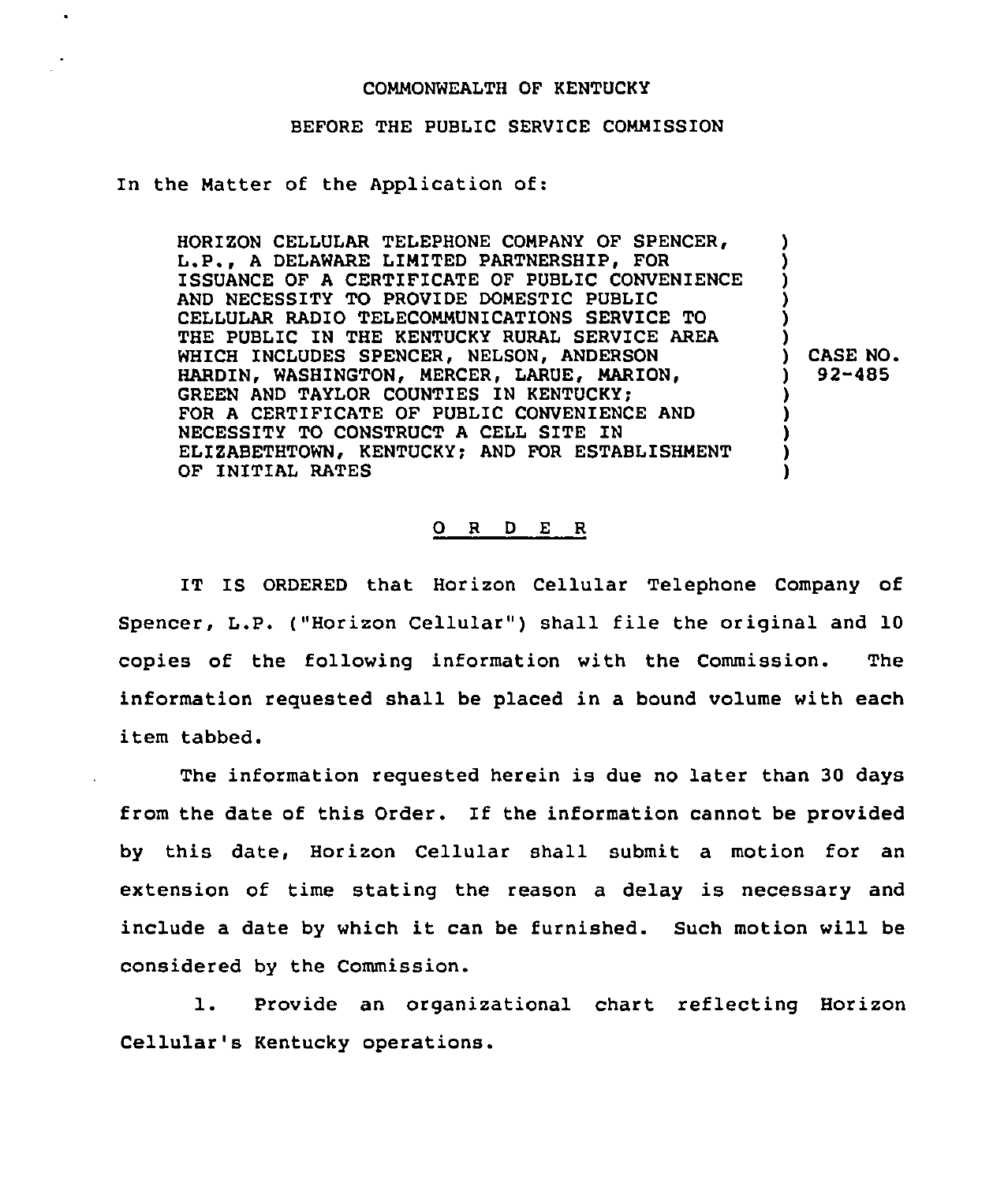## COMMONWEALTH OF KENTUCKY

## BEFORE THE PUBLIC SERVICE COMMISSION

In the Matter of the Application of:

HORIZON CELLULAR TELEPHONE COMPANY OF SPENCER, L.P., <sup>A</sup> DELAWARE LIMITED PARTNERSHIP, FOR ISSUANCE OF A CERTIFICATE OF PUBLIC CONVENIENCE AND NECESSITY TO PROVIDE DOMESTIC PUBLIC CELLULAR RADIO TELECOMMUNICATIONS SERVICE TO THE PUBLIC IN THE KENTUCKY RURAL SERVICE AREA WHICH INCLUDES SPENCER, NELSON, ANDERSON HARDIN, WASHINGTON, MERCER, LARUE, MARION, GREEN AND TAYLOR COUNTIES IN KENTUCKY: FOR A CERTIFICATE OF PUBLIC CONVENIENCE AND NECESSITY TO CONSTRUCT <sup>A</sup> CELL SITE IN ELIZABETHTOWN, KENTUCKY; AND FOR ESTABLISHMENT OF INITIAL RATES ) ) ) ) ) ) ) CASE NO. ) 92-485 ) ) ) ) )

## 0 <sup>R</sup> <sup>D</sup> E <sup>R</sup>

IT IS ORDERED that Horizon Cellular Telephone Company of Spencer, L.P. ("Horizon Cellular" ) shall file the original and 10 copies of the following information with the Commission. The information requested shall be placed in a bound volume with each item tabbed.

The information requested herein is due no later than 30 days from the date of this Order. If the information cannot be provided by this date, Horizon Cellular shall submit a motion for an extension of time stating the reason a delay is necessary and include <sup>a</sup> date by which it can be furnished. Such motion will be considered by the Commission.

1. Provide an organizational chart reflecting Horizon Cellular's Kentucky operations.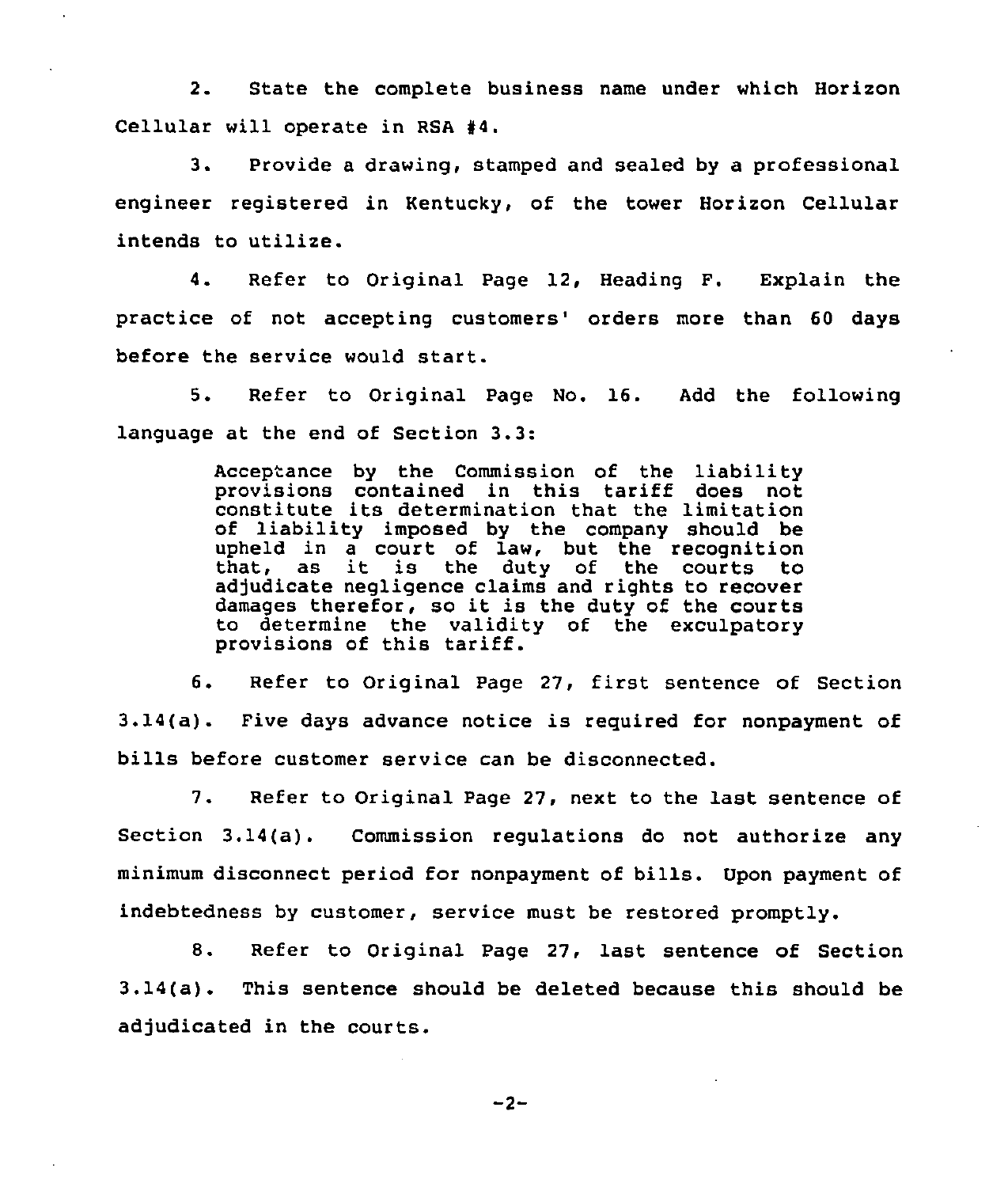2. State the complete business name under which Horizon Cellular will operate in RSA  $#4$ .

3. Provide a drawing, stamped and sealed by a professional engineer registered in Kentucky, of the tower Horizon Cellular intends to utilize.

4. Refer to Original Page 12, Heading F. Explain the practice of not accepting customers' orders more than 60 days before the service would start.

5. Refer to Original Page No. 16. Add the following language at the end of Section 3.3:

> Acceptance by the Commission of the liability provisions contained in this tariff does not constitute its determination that the limitation of liability imposed by the company should be upheld in a court of law, but the recognition that, as it is the duty of the courts to adjudicate negligence claims and rights to recover damages therefor, so it is the duty of the courts to determine the validity of the exculpatory provisions of this tariff.

6. Refer to Original Page 27, first sentence of Section 3.14(a). Five days advance notice is required for nonpayment of bills before customer service can be disconnected.

7. Refer to Original Page 27, next to the last sentence of Section 3.14(a). Commission regulations do not authorize any minimum disconnect period for nonpayment of bills. Upon payment of indebtedness by customer, service must be restored promptly.

8. Refer to Original Page 27, last sentence of Section 3.14(a). This sentence should be deleted because this should be adjudicated in the courts.

 $-2-$